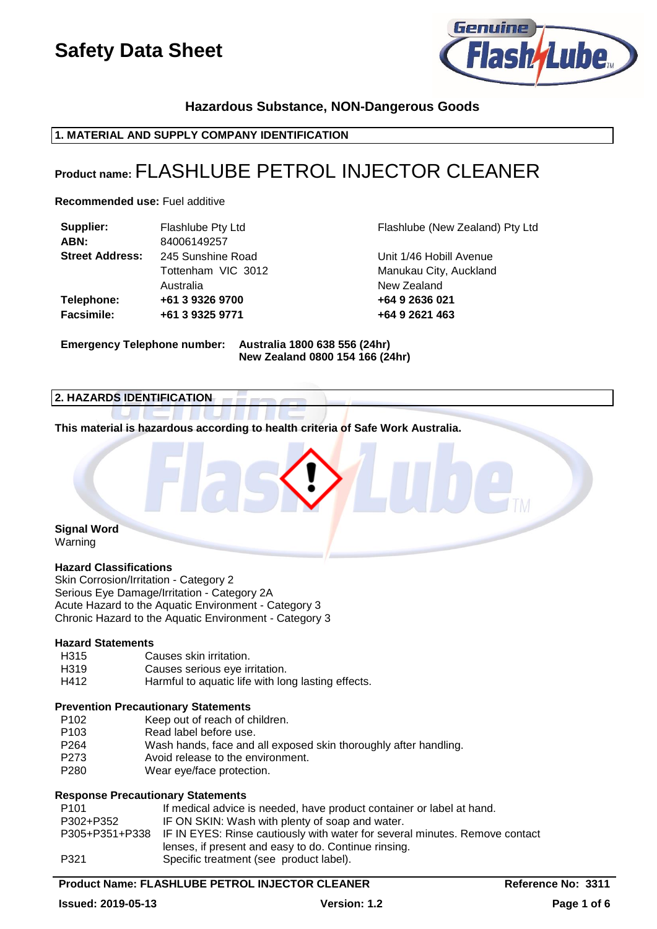

# **Hazardous Substance, NON-Dangerous Goods**

# **1. MATERIAL AND SUPPLY COMPANY IDENTIFICATION**

# **Product name:** FLASHLUBE PETROL INJECTOR CLEANER

**Recommended use:** Fuel additive

| Supplier:              | Flashlube Pty Ltd  | Flashlube (New   |
|------------------------|--------------------|------------------|
| ABN:                   | 84006149257        |                  |
| <b>Street Address:</b> | 245 Sunshine Road  | Unit 1/46 Hobill |
|                        | Tottenham VIC 3012 | Manukau City, A  |
|                        | Australia          | New Zealand      |
| Telephone:             | +61 3 9326 9700    | +64 9 2636 021   |
| <b>Facsimile:</b>      | +61 3 9325 9771    | +64 9 2621 463   |
|                        |                    |                  |

**Ilube (New Zealand) Pty Ltd** 

 $1/46$  Hobill Avenue **Kau City, Auckland** Zealand

### **Emergency Telephone number: Australia 1800 638 556 (24hr) New Zealand 0800 154 166 (24hr)**

#### **2. HAZARDS IDENTIFICATION**

**This material is hazardous according to health criteria of Safe Work Australia.**

### **Signal Word** Warning

# **Hazard Classifications**

Skin Corrosion/Irritation - Category 2 Serious Eye Damage/Irritation - Category 2A Acute Hazard to the Aquatic Environment - Category 3 Chronic Hazard to the Aquatic Environment - Category 3

#### **Hazard Statements**

H315 Causes skin irritation. H319 Causes serious eye irritation. H412 Harmful to aquatic life with long lasting effects.

#### **Prevention Precautionary Statements**

- P102 Keep out of reach of children.<br>P103 Read label before use
- P103 Read label before use.<br>P264 Wash hands face and
- Wash hands, face and all exposed skin thoroughly after handling.
- P273 Avoid release to the environment.
- P280 Wear eye/face protection.

# **Response Precautionary Statements**

| P101      | If medical advice is needed, have product container or label at hand.                      |
|-----------|--------------------------------------------------------------------------------------------|
| P302+P352 | IF ON SKIN: Wash with plenty of soap and water.                                            |
|           | P305+P351+P338 IF IN EYES: Rinse cautiously with water for several minutes. Remove contact |
|           | lenses, if present and easy to do. Continue rinsing.                                       |
| P321      | Specific treatment (see product label).                                                    |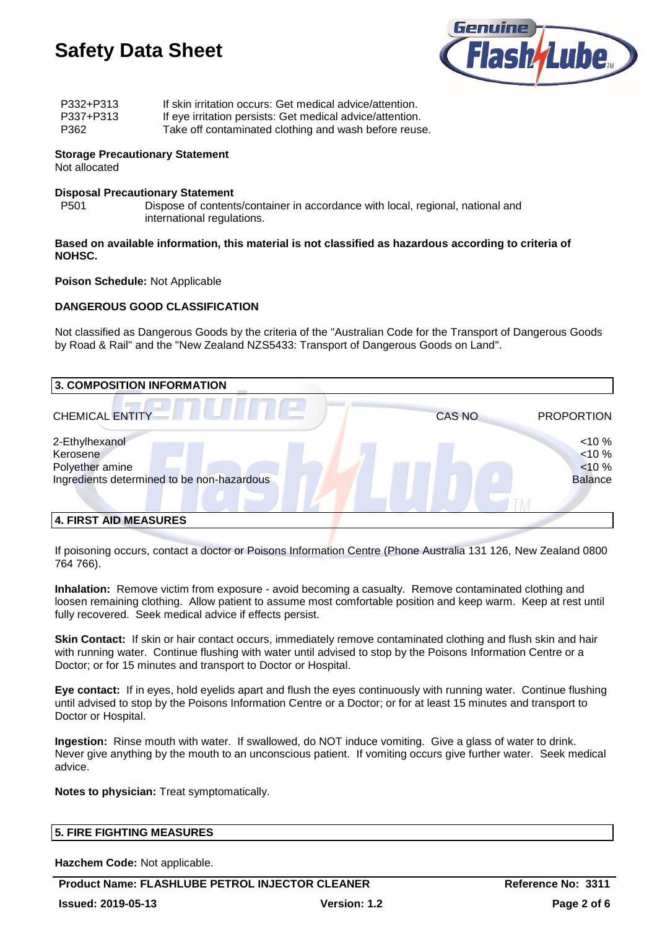

| P332+P313 | If skin irritation occurs: Get medical advice/attention.  |
|-----------|-----------------------------------------------------------|
| P337+P313 | If eye irritation persists: Get medical advice/attention. |
| P362      | Take off contaminated clothing and wash before reuse.     |

#### **Storage Precautionary Statement** Not allocated

# **Disposal Precautionary Statement**

P501 Dispose of contents/container in accordance with local, regional, national and international regulations.

#### **Based on available information, this material is not classified as hazardous according to criteria of NOHSC.**

#### **Poison Schedule:** Not Applicable

# **DANGEROUS GOOD CLASSIFICATION**

Not classified as Dangerous Goods by the criteria of the "Australian Code for the Transport of Dangerous Goods by Road & Rail" and the "New Zealand NZS5433: Transport of Dangerous Goods on Land".

| 3. COMPOSITION INFORMATION                                                                  |                                                       |
|---------------------------------------------------------------------------------------------|-------------------------------------------------------|
| <b>CHEMICAL ENTITY</b>                                                                      | <b>PROPORTION</b><br><b>CAS NO</b>                    |
| 2-Ethylhexanol<br>Kerosene<br>Polyether amine<br>Ingredients determined to be non-hazardous | $< 10 \%$<br>$< 10 \%$<br>$< 10 \%$<br><b>Balance</b> |
| 4. FIRST AID MEASURES                                                                       |                                                       |

If poisoning occurs, contact a doctor or Poisons Information Centre (Phone Australia 131 126, New Zealand 0800 764 766).

**Inhalation:** Remove victim from exposure - avoid becoming a casualty. Remove contaminated clothing and loosen remaining clothing. Allow patient to assume most comfortable position and keep warm. Keep at rest until fully recovered. Seek medical advice if effects persist.

**Skin Contact:** If skin or hair contact occurs, immediately remove contaminated clothing and flush skin and hair with running water. Continue flushing with water until advised to stop by the Poisons Information Centre or a Doctor; or for 15 minutes and transport to Doctor or Hospital.

**Eye contact:** If in eyes, hold eyelids apart and flush the eyes continuously with running water. Continue flushing until advised to stop by the Poisons Information Centre or a Doctor; or for at least 15 minutes and transport to Doctor or Hospital.

**Ingestion:** Rinse mouth with water. If swallowed, do NOT induce vomiting. Give a glass of water to drink. Never give anything by the mouth to an unconscious patient. If vomiting occurs give further water. Seek medical advice.

**Notes to physician:** Treat symptomatically.

| <b>5. FIRE FIGHTING MEASURES</b> |
|----------------------------------|
|----------------------------------|

**Hazchem Code:** Not applicable.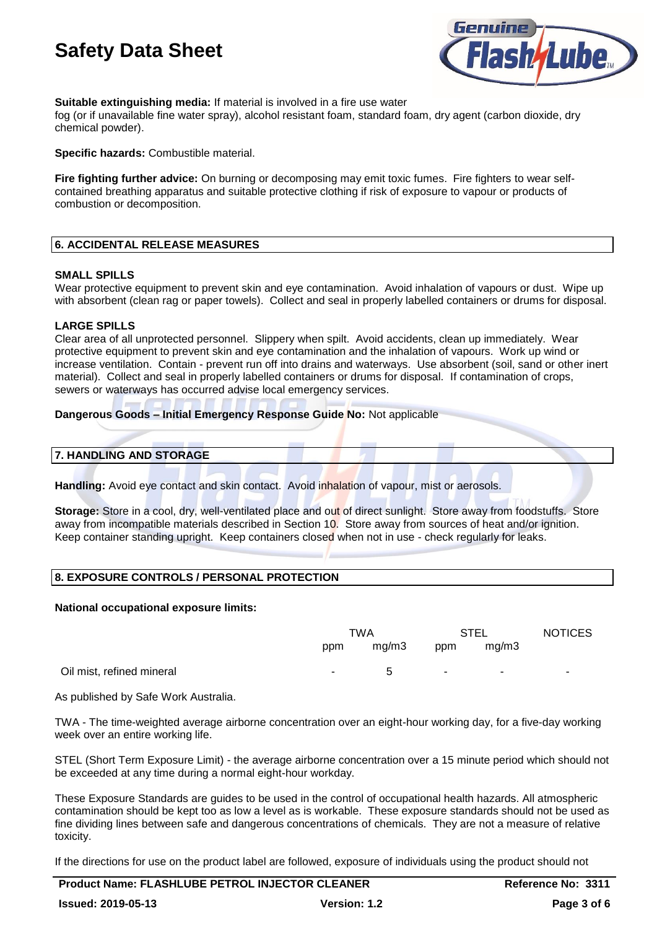

# **Suitable extinguishing media:** If material is involved in a fire use water

fog (or if unavailable fine water spray), alcohol resistant foam, standard foam, dry agent (carbon dioxide, dry chemical powder).

**Specific hazards:** Combustible material.

**Fire fighting further advice:** On burning or decomposing may emit toxic fumes. Fire fighters to wear selfcontained breathing apparatus and suitable protective clothing if risk of exposure to vapour or products of combustion or decomposition.

#### **6. ACCIDENTAL RELEASE MEASURES**

#### **SMALL SPILLS**

Wear protective equipment to prevent skin and eye contamination. Avoid inhalation of vapours or dust. Wipe up with absorbent (clean rag or paper towels). Collect and seal in properly labelled containers or drums for disposal.

#### **LARGE SPILLS**

Clear area of all unprotected personnel. Slippery when spilt. Avoid accidents, clean up immediately. Wear protective equipment to prevent skin and eye contamination and the inhalation of vapours. Work up wind or increase ventilation. Contain - prevent run off into drains and waterways. Use absorbent (soil, sand or other inert material). Collect and seal in properly labelled containers or drums for disposal. If contamination of crops, sewers or waterways has occurred advise local emergency services.

#### **Dangerous Goods – Initial Emergency Response Guide No:** Not applicable

#### **7. HANDLING AND STORAGE**

**Handling:** Avoid eye contact and skin contact. Avoid inhalation of vapour, mist or aerosols.

**Storage:** Store in a cool, dry, well-ventilated place and out of direct sunlight. Store away from foodstuffs. Store away from incompatible materials described in Section 10. Store away from sources of heat and/or ignition. Keep container standing upright. Keep containers closed when not in use - check regularly for leaks.

# **8. EXPOSURE CONTROLS / PERSONAL PROTECTION**

#### **National occupational exposure limits:**

|                           | TWA    |             | <b>STEL</b>   |        | <b>NOTICES</b> |
|---------------------------|--------|-------------|---------------|--------|----------------|
|                           | ppm    | mg/m3       | ppm           | mg/m3  |                |
| Oil mist, refined mineral | $\sim$ | $\mathbf b$ | $\sim$ $\sim$ | $\sim$ | $\sim$         |

As published by Safe Work Australia.

TWA - The time-weighted average airborne concentration over an eight-hour working day, for a five-day working week over an entire working life.

STEL (Short Term Exposure Limit) - the average airborne concentration over a 15 minute period which should not be exceeded at any time during a normal eight-hour workday.

These Exposure Standards are guides to be used in the control of occupational health hazards. All atmospheric contamination should be kept too as low a level as is workable. These exposure standards should not be used as fine dividing lines between safe and dangerous concentrations of chemicals. They are not a measure of relative toxicity.

If the directions for use on the product label are followed, exposure of individuals using the product should not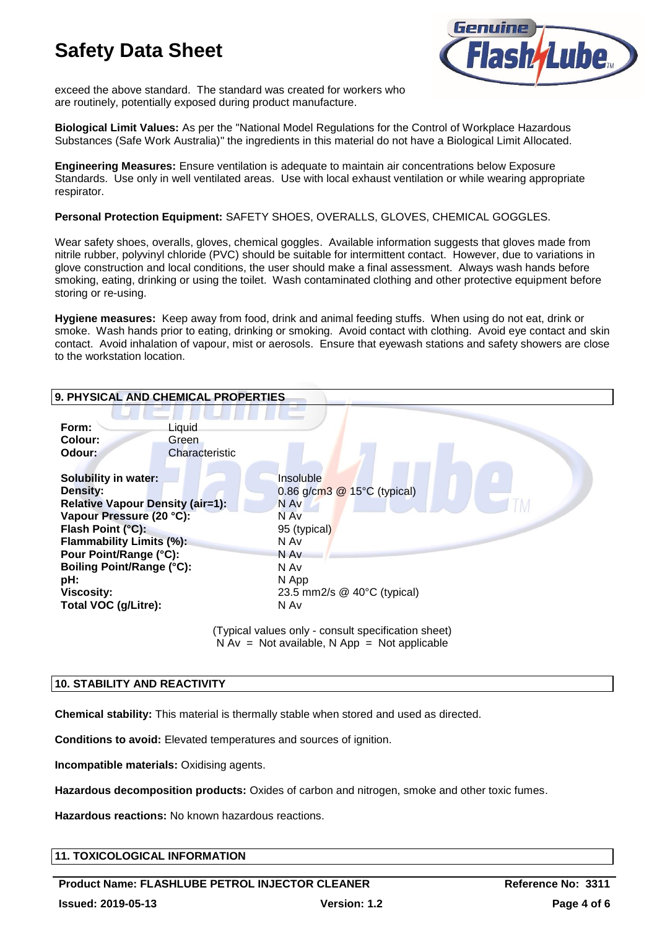

exceed the above standard. The standard was created for workers who are routinely, potentially exposed during product manufacture.

**Biological Limit Values:** As per the "National Model Regulations for the Control of Workplace Hazardous Substances (Safe Work Australia)" the ingredients in this material do not have a Biological Limit Allocated.

**Engineering Measures:** Ensure ventilation is adequate to maintain air concentrations below Exposure Standards. Use only in well ventilated areas. Use with local exhaust ventilation or while wearing appropriate respirator.

**Personal Protection Equipment:** SAFETY SHOES, OVERALLS, GLOVES, CHEMICAL GOGGLES.

Wear safety shoes, overalls, gloves, chemical goggles. Available information suggests that gloves made from nitrile rubber, polyvinyl chloride (PVC) should be suitable for intermittent contact. However, due to variations in glove construction and local conditions, the user should make a final assessment. Always wash hands before smoking, eating, drinking or using the toilet. Wash contaminated clothing and other protective equipment before storing or re-using.

**Hygiene measures:** Keep away from food, drink and animal feeding stuffs. When using do not eat, drink or smoke. Wash hands prior to eating, drinking or smoking. Avoid contact with clothing. Avoid eye contact and skin contact. Avoid inhalation of vapour, mist or aerosols. Ensure that eyewash stations and safety showers are close to the workstation location.

| 9. PHYSICAL AND CHEMICAL PROPERTIES                                                                                                                                                                                                                                                      |                                                                                                                                                       |  |
|------------------------------------------------------------------------------------------------------------------------------------------------------------------------------------------------------------------------------------------------------------------------------------------|-------------------------------------------------------------------------------------------------------------------------------------------------------|--|
| Form:<br>Liquid<br>Colour:<br>Green<br>Odour:                                                                                                                                                                                                                                            | Characteristic                                                                                                                                        |  |
| <b>Solubility in water:</b><br><b>Density:</b><br><b>Relative Vapour Density (air=1):</b><br>Vapour Pressure (20 °C):<br>Flash Point (°C):<br>Flammability Limits (%):<br>Pour Point/Range (°C):<br><b>Boiling Point/Range (°C):</b><br>pH:<br><b>Viscosity:</b><br>Total VOC (g/Litre): | Insoluble<br>0.86 g/cm3 $@$ 15 $°C$ (typical)<br>N Av<br>N Av<br>95 (typical)<br>N Av<br>N Av<br>N Av<br>N App<br>23.5 mm2/s @ 40°C (typical)<br>N Av |  |
| (Typical values only - consult specification sheet)                                                                                                                                                                                                                                      |                                                                                                                                                       |  |

 $N Av = Not available, N App = Not applicable$ 

# **10. STABILITY AND REACTIVITY**

**Chemical stability:** This material is thermally stable when stored and used as directed.

**Conditions to avoid:** Elevated temperatures and sources of ignition.

**Incompatible materials:** Oxidising agents.

**Hazardous decomposition products:** Oxides of carbon and nitrogen, smoke and other toxic fumes.

**Hazardous reactions:** No known hazardous reactions.

# **11. TOXICOLOGICAL INFORMATION**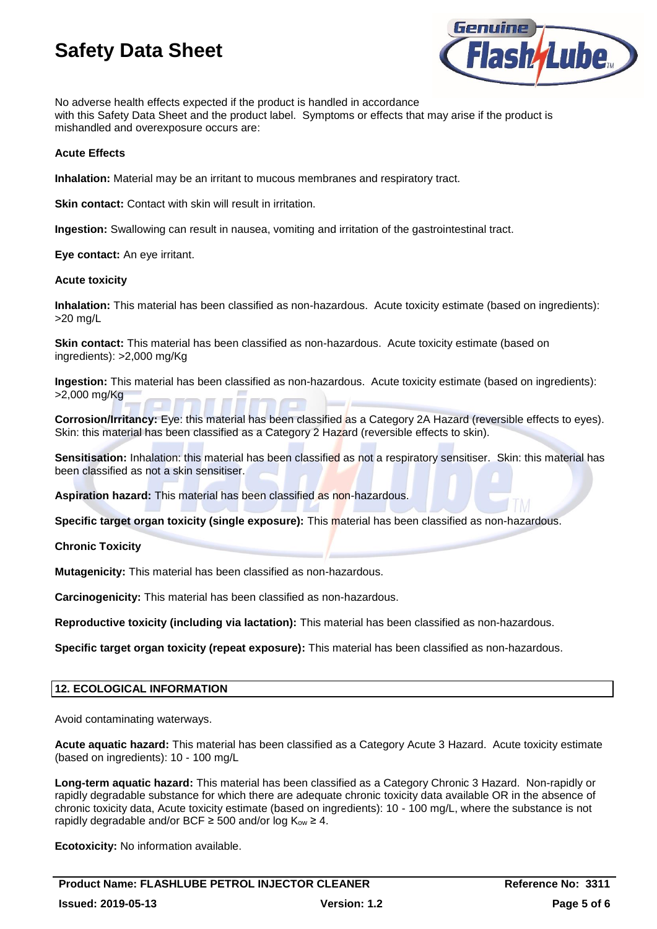

No adverse health effects expected if the product is handled in accordance with this Safety Data Sheet and the product label. Symptoms or effects that may arise if the product is mishandled and overexposure occurs are:

### **Acute Effects**

**Inhalation:** Material may be an irritant to mucous membranes and respiratory tract.

**Skin contact:** Contact with skin will result in irritation.

**Ingestion:** Swallowing can result in nausea, vomiting and irritation of the gastrointestinal tract.

**Eye contact:** An eye irritant.

#### **Acute toxicity**

**Inhalation:** This material has been classified as non-hazardous. Acute toxicity estimate (based on ingredients): >20 mg/L

**Skin contact:** This material has been classified as non-hazardous. Acute toxicity estimate (based on ingredients): >2,000 mg/Kg

**Ingestion:** This material has been classified as non-hazardous. Acute toxicity estimate (based on ingredients): >2,000 mg/Kg

**Corrosion/Irritancy:** Eye: this material has been classified as a Category 2A Hazard (reversible effects to eyes). Skin: this material has been classified as a Category 2 Hazard (reversible effects to skin).

**Sensitisation:** Inhalation: this material has been classified as not a respiratory sensitiser. Skin: this material has been classified as not a skin sensitiser.

**Aspiration hazard:** This material has been classified as non-hazardous.

**Specific target organ toxicity (single exposure):** This material has been classified as non-hazardous.

**Chronic Toxicity**

**Mutagenicity:** This material has been classified as non-hazardous.

**Carcinogenicity:** This material has been classified as non-hazardous.

**Reproductive toxicity (including via lactation):** This material has been classified as non-hazardous.

**Specific target organ toxicity (repeat exposure):** This material has been classified as non-hazardous.

# **12. ECOLOGICAL INFORMATION**

Avoid contaminating waterways.

**Acute aquatic hazard:** This material has been classified as a Category Acute 3 Hazard. Acute toxicity estimate (based on ingredients): 10 - 100 mg/L

**Long-term aquatic hazard:** This material has been classified as a Category Chronic 3 Hazard. Non-rapidly or rapidly degradable substance for which there are adequate chronic toxicity data available OR in the absence of chronic toxicity data, Acute toxicity estimate (based on ingredients): 10 - 100 mg/L, where the substance is not rapidly degradable and/or BCF  $\geq$  500 and/or log K<sub>ow</sub>  $\geq$  4.

**Ecotoxicity:** No information available.